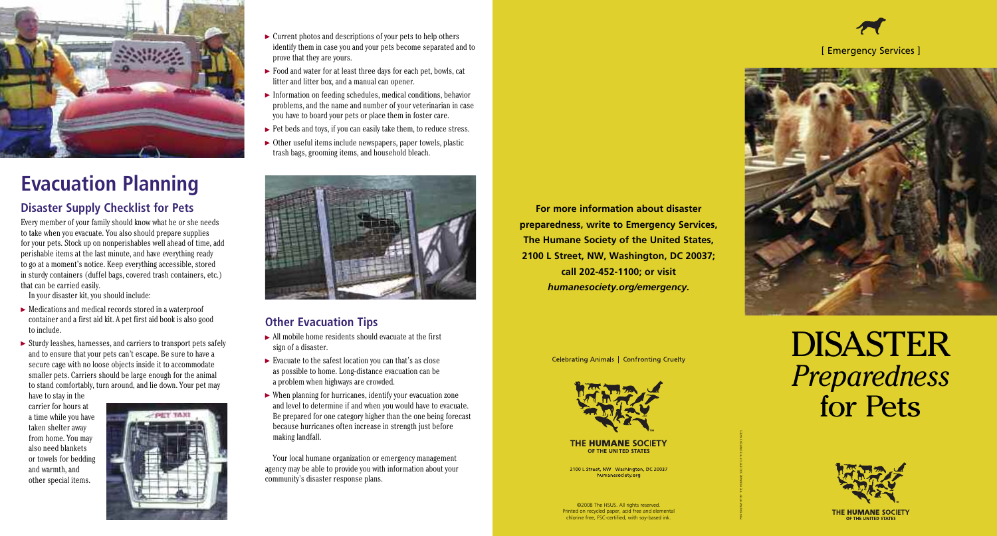

# **Evacuation Planning**

#### **Disaster Supply Checklist for Pets**

Every member of your family should know what he or she needs to take when you evacuate. You also should prepare supplies for your pets. Stock up on nonperishables well ahead of time, add perishable items at the last minute, and have everything ready to go at a moment's notice. Keep everything accessible, stored in sturdy containers (duffel bags, covered trash containers, etc.) that can be carried easily.

- $\blacktriangleright$  Medications and medical records stored in a waterproof container and a first aid kit. A pet first aid book is also good to include.
- $\triangleright$  Sturdy leashes, harnesses, and carriers to transport pets safely and to ensure that your pets can't escape. Be sure to have a secure cage with no loose objects inside it to accommodate smaller pets. Carriers should be large enough for the animal to stand comfortably, turn around, and lie down. Your pet may

In your disaster kit, you should include:

- $\triangleright$  Current photos and descriptions of your pets to help others identify them in case you and your pets become separated and to prove that they are yours.
- ▶ Food and water for at least three days for each pet, bowls, cat litter and litter box, and a manual can opener.
- Information on feeding schedules, medical conditions, behavior problems, and the name and number of your veterinarian in case you have to board your pets or place them in foster care.
- $\blacktriangleright$  Pet beds and toys, if you can easily take them, to reduce stress.
- $\triangleright$  Other useful items include newspapers, paper towels, plastic trash bags, grooming items, and household bleach.



have to stay in the carrier for hours at a time while you have taken shelter away from home. You may also need blankets or towels for bedding and warmth, and other special items.



©2008 The HSUS. All rights reserved. Printed on recycled paper, acid free and elemental chlorine free, FSC-certified, with soy-based ink.



### **Other Evacuation Tips**

- All mobile home residents should evacuate at the first sign of a disaster.
- $\blacktriangleright$  Evacuate to the safest location you can that's as close as possible to home. Long-distance evacuation can be a problem when highways are crowded.
- When planning for hurricanes, identify your evacuation zone and level to determine if and when you would have to evacuate. Be prepared for one category higher than the one being forecast because hurricanes often increase in strength just before making landfall.

Your local humane organization or emergency management agency may be able to provide you with information about your community's disaster response plans.

# DISASTER *Preparedness* for Pets



THE HUMANE SOCIETY

#### [ Emergency Services ]



**For more information about disaster preparedness, write to Emergency Services, The Humane Society of the United States, 2100 L Street, NW, Washington, DC 20037; call 202-452-1100; or visit** *humanesociety.org/emergency.*

Celebrating Animals | Confronting Cruelty



#### **THE HUMANE SOCIETY** OF THE UNITED STATES

2100 L Street, NW Washington, DC 20037 humanesociety.org

PHOTOGRAPHY BY THE HUMANE SOCIETY OF THE UNITED STATES